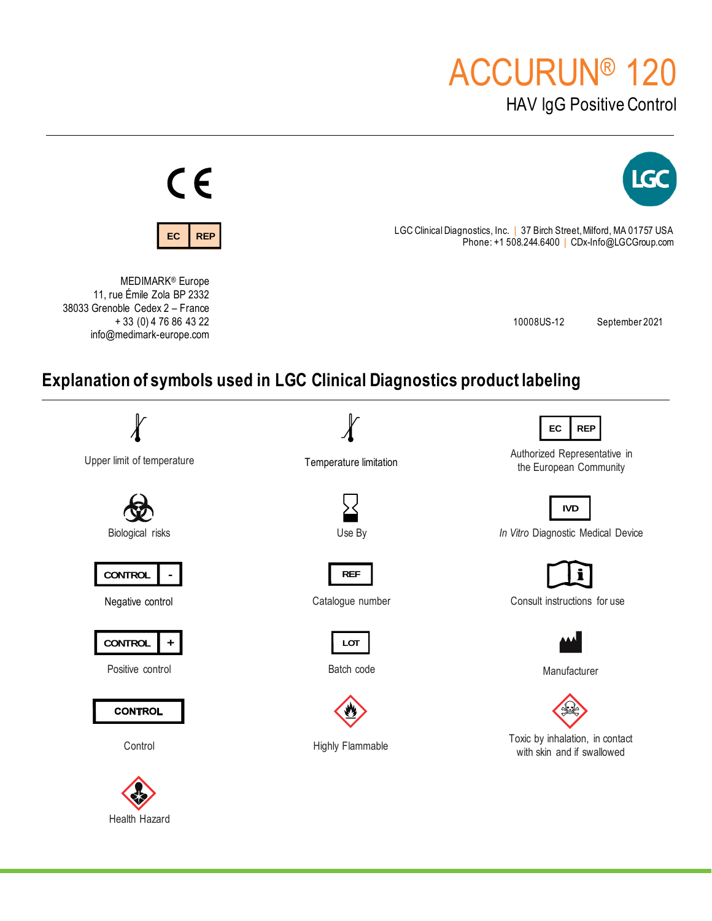# ACCURUN® 120

HAV lgG Positive Control



Health Hazard